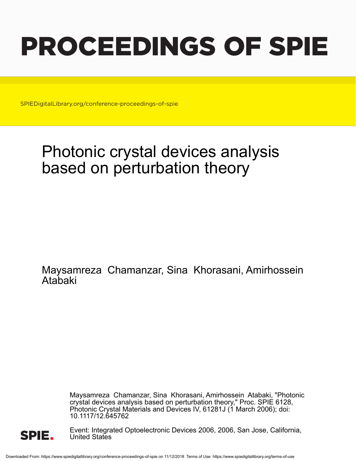# PROCEEDINGS OF SPIE

SPIEDigitalLibrary.org/conference-proceedings-of-spie

## Photonic crystal devices analysis based on perturbation theory

Maysamreza Chamanzar, Sina Khorasani, Amirhossein Atabaki

> Maysamreza Chamanzar, Sina Khorasani, Amirhossein Atabaki, "Photonic crystal devices analysis based on perturbation theory," Proc. SPIE 6128, Photonic Crystal Materials and Devices IV, 61281J (1 March 2006); doi: 10.1117/12.645762



Event: Integrated Optoelectronic Devices 2006, 2006, San Jose, California, United States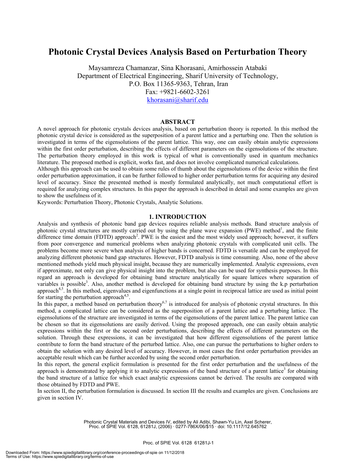### **Photonic Crystal Devices Analysis Based on Perturbation Theory**

Maysamreza Chamanzar, Sina Khorasani, Amirhossein Atabaki Department of Electrical Engineering, Sharif University of Technology, P.O. Box 11365-9363, Tehran, Iran Fax: +9821-6602-3261 khorasani@sharif.edu

#### **ABSTRACT**

A novel approach for photonic crystals devices analysis, based on perturbation theory is reported. In this method the photonic crystal device is considered as the superposition of a parent lattice and a perturbing one. Then the solution is investigated in terms of the eigensolutions of the parent lattice. This way, one can easily obtain analytic expressions within the first order perturbation, describing the effects of different parameters on the eigensolutions of the structure. The perturbation theory employed in this work is typical of what is conventionally used in quantum mechanics literature. The proposed method is explicit, works fast, and does not involve complicated numerical calculations.

Although this approach can be used to obtain some rules of thumb about the eigensolutions of the device within the first order perturbation approximation, it can be further followed to higher order perturbation terms for acquiring any desired level of accuracy. Since the presented method is mostly formulated analytically, not much computational effort is required for analyzing complex structures. In this paper the approach is described in detail and some examples are given to show the usefulness of it.

Keywords: Perturbation Theory, Photonic Crystals, Analytic Solutions.

#### **1. INTRODUCTION**

Analysis and synthesis of photonic band gap devices requires reliable analysis methods. Band structure analysis of photonic crystal structures are mostly carried out by using the plane wave expansion (PWE) method<sup>1</sup>, and the finite difference time domain (FDTD) approach<sup>2</sup>. PWE is the easiest and the most widely used approach; however, it suffers from poor convergence and numerical problems when analyzing photonic crystals with complicated unit cells. The problems become more severe when analysis of higher bands is concerned. FDTD is versatile and can be employed for analyzing different photonic band gap structures. However, FDTD analysis is time consuming. Also, none of the above mentioned methods yield much physical insight, because they are numerically implemented. Analytic expressions, even if approximate, not only can give physical insight into the problem, but also can be used for synthesis purposes. In this regard an approach is developed for obtaining band structure analytically for square lattices where separation of variables is possible<sup>3</sup>. Also, another method is developed for obtaining band structure by using the k.p perturbation approach<sup>4,5</sup>. In this method, eigenvalues and eigenfunctions at a single point in reciprocal lattice are used as initial point for starting the perturbation approach<sup>4,5</sup>.

In this paper, a method based on perturbation theory<sup>6,7</sup> is introduced for analysis of photonic crystal structures. In this method, a complicated lattice can be considered as the superposition of a parent lattice and a perturbing lattice. The eigensolutions of the structure are investigated in terms of the eigensolutions of the parent lattice. The parent lattice can be chosen so that its eigensolutions are easily derived. Using the proposed approach, one can easily obtain analytic expressions within the first or the second order perturbations, describing the effects of different parameters on the solution. Through these expressions, it can be investigated that how different eigensolutions of the parent lattice contribute to form the band structure of the perturbed lattice. Also, one can pursue the perturbations to higher orders to obtain the solution with any desired level of accuracy. However, in most cases the first order perturbation provides an acceptable result which can be further accorded by using the second order perturbation.

In this report, the general explicit formulation is presented for the first order perturbation and the usefulness of the approach is demonstrated by applying it to analytic expressions of the band structure of a parent lattice<sup>3</sup> for obtaining the band structure of a lattice for which exact analytic expressions cannot be derived. The results are compared with those obtained by FDTD and PWE.

In section II, the perturbation formulation is discussed. In section III the results and examples are given. Conclusions are given in section IV.

> Photonic Crystal Materials and Devices IV, edited by Ali Adibi, Shawn-Yu Lin, Axel Scherer, Proc. of SPIE Vol. 6128, 61281J, (2006) · 0277-786X/06/\$15 · doi: 10.1117/12.645762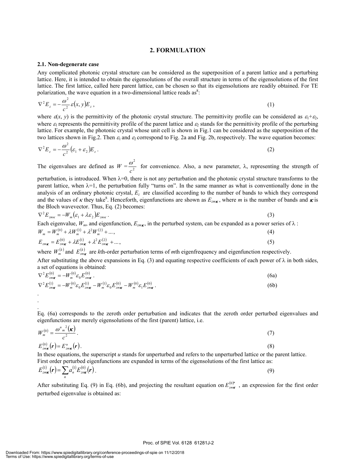#### **2. FORMULATION**

#### **2.1. Non-degenerate case**

. . .

Any complicated photonic crystal structure can be considered as the superposition of a parent lattice and a perturbing lattice. Here, it is intended to obtain the eigensolutions of the overall structure in terms of the eigensolutions of the first lattice. The first lattice, called here parent lattice, can be chosen so that its eigensolutions are readily obtained. For TE polarization, the wave equation in a two-dimensional lattice reads as<sup>8</sup>:

$$
\nabla^2 E_z = -\frac{\omega^2}{c^2} \varepsilon(x, y) E_z, \qquad (1)
$$

where  $\varepsilon(x, y)$  is the permittivity of the photonic crystal structure. The permittivity profile can be considered as  $\varepsilon_1 + \varepsilon_2$ , where  $\varepsilon_1$  represents the permittivity profile of the parent lattice and  $\varepsilon_2$  stands for the permittivity profile of the perturbing lattice. For example, the photonic crystal whose unit cell is shown in Fig.1 can be considered as the superposition of the two lattices shown in Fig.2. Then  $\varepsilon_1$  and  $\varepsilon_2$  correspond to Fig. 2a and Fig. 2b, respectively. The wave equation becomes:

$$
\nabla^2 E_z = -\frac{\omega^2}{c^2} \left(\varepsilon_1 + \varepsilon_2\right) E_z \,. \tag{2}
$$

The eigenvalues are defined as  $W = \frac{\omega^2}{a^2}$ *c*  $\frac{\omega}{\gamma}$  for convenience. Also, a new parameter, λ, representing the strength of

perturbation, is introduced. When  $\lambda=0$ , there is not any perturbation and the photonic crystal structure transforms to the parent lattice, when  $\lambda=1$ , the perturbation fully "turns on". In the same manner as what is conventionally done in the analysis of an ordinary photonic crystal, *Ez* are classified according to the number of bands to which they correspond and the values of  $\kappa$  they take<sup>8</sup>. Henceforth, eigenfunctions are shown as  $E_{z_m}$ , where *m* is the number of bands and  $\kappa$  is the Bloch wavevector. Thus, Eq. (2) becomes:

$$
\nabla^2 E_{z_{m\kappa}} = -W_m \big(\varepsilon_1 + \lambda \varepsilon_2 \big) E_{z_{m\kappa}} \,. \tag{3}
$$

Each eigenvalue,  $W_m$ , and eigenfunction,  $E_{z_m k}$ , in the perturbed system, can be expanded as a power series of  $\lambda$ :  $W_m = W_m^{(0)} + \lambda W_m^{(1)} + \lambda^2 W_m^{(2)} + \dots,$  (4)

$$
E_{z m \kappa} = E_{z m \kappa}^{(0)} + \lambda E_{z m \kappa}^{(1)} + \lambda^2 E_{z m \kappa}^{(2)} + \dots,
$$
\n(5)

where  $W_m^{(k)}$  and  $E_{z_m k}^{(k)}$  are *k*th-order perturbation terms of *m*th eigenfrequency and eigenfunction respectively. After substituting the above expansions in Eq. (3) and equating respective coefficients of each power of  $\lambda$  in both sides, a set of equations is obtained:

$$
\nabla^2 E_{z\eta(\mathbf{k})}^{(0)} = -W_m^{(0)} \varepsilon_0 E_{z\eta(\mathbf{k})}^{(0)}.
$$
\n
$$
\nabla^2 E_{z\eta(\mathbf{k})}^{(1)} = -W_m^{(0)} \varepsilon_0 E_{z\eta(\mathbf{k})}^{(1)} - W_m^{(1)} \varepsilon_0 E_{z\eta(\mathbf{k})}^{(0)} - W_m^{(0)} \varepsilon_1 E_{z\eta(\mathbf{k})}^{(0)}.
$$
\n(6a)

Eq. (6a) corresponds to the zeroth order perturbation and indicates that the zeroth order perturbed eigenvalues and eigenfunctions are merely eigensolutions of the first (parent) lattice, i.e.

$$
W_m^{(0)} = \frac{\omega_{m}^{u}{}^2(\mathbf{k})}{c^2}.
$$
\n(7)

$$
E_{z\mathbf{m}\mathbf{k}}^{(0)}(\mathbf{r}) = E_{z\mathbf{m}\mathbf{k}}^{u}(\mathbf{r}).
$$
\n(8)

In these equations, the superscript  $u$  stands for unperturbed and refers to the unperturbed lattice or the parent lattice. First order perturbed eigenfunctions are expanded in terms of the eigensolutions of the first lattice as:

$$
E_{z_{\text{max}}}^{(1)}(\mathbf{r}) = \sum_{n} a_n^{(1)} E_{z_{\text{max}}}^{(0)}(\mathbf{r}) \,.
$$

After substituting Eq. (9) in Eq. (6b), and projecting the resultant equation on  $E_{zmx}^{(0)*}$ , an expression for the first order perturbed eigenvalue is obtained as: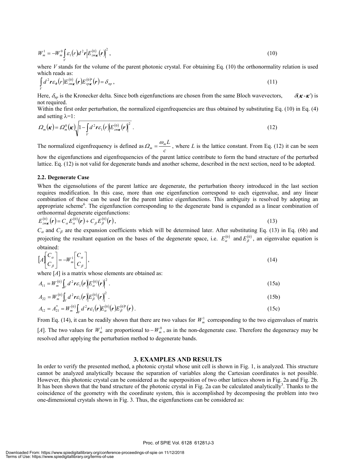$$
W_m^1 = -W_m^0 \int\limits_V \mathcal{E}_1(r) d^2 r \Big| E_{z m \kappa}^{(0)}(r) \Big|^2 , \qquad (10)
$$

where *V* stands for the volume of the parent photonic crystal. For obtaining Eq. (10) the orthonormality relation is used which reads as:

$$
\int_{V} d^{2} \mathbf{r} \varepsilon_{\theta}(r) E_{z m \mathbf{x}}^{(0)}(\mathbf{r}) E_{z p \mathbf{x}}^{(0) *}(\mathbf{r}) = \delta_{n p} , \qquad (11)
$$

Here,  $\delta_{np}$  is the Kronecker delta. Since both eigenfunctions are chosen from the same Bloch wavevectors,  $\delta(\mathbf{k} - \mathbf{k}')$  is not required.

Within the first order perturbation, the normalized eigenfrequencies are thus obtained by substituting Eq. (10) in Eq. (4) and setting  $\lambda=1$ :

$$
\Omega_m(\boldsymbol{\kappa}) = \Omega_m^0(\boldsymbol{\kappa}) \sqrt{1 - \int_V d^2 r \varepsilon_1(r) \left| E_{z_m \boldsymbol{\kappa}}^{(0)}(\boldsymbol{r}) \right|^2} \ . \tag{12}
$$

The normalized eigenfrequency is defined as  $\Omega_m = \frac{c_m}{c_m}$  $\Omega_m = \frac{\omega_m L}{I}$ , where *L* is the lattice constant. From Eq. (12) it can be seen

how the eigenfunctions and eigenfrequencies of the parent lattice contribute to form the band structure of the perturbed lattice. Eq. (12) is not valid for degenerate bands and another scheme, described in the next section, need to be adopted.

#### **2.2. Degenerate Case**

When the eigensolutions of the parent lattice are degenerate, the perturbation theory introduced in the last section requires modification. In this case, more than one eigenfunction correspond to each eigenvalue, and any linear combination of these can be used for the parent lattice eigenfunctions. This ambiguity is resolved by adopting an appropriate scheme<sup>6</sup>. The eigenfunction corresponding to the degenerate band is expanded as a linear combination of orthonormal degenerate eigenfunctions:

$$
E_{z_{\text{max}}}^{(0)}(\mathbf{r}) = C_{\alpha} E_{\alpha}^{(0)}(\mathbf{r}) + C_{\beta} E_{\beta}^{(0)}(\mathbf{r}),
$$
\n(13)

 $C_\alpha$  and  $C_\beta$  are the expansion coefficients which will be determined later. After substituting Eq. (13) in Eq. (6b) and projecting the resultant equation on the bases of the degenerate space, i.e.  $E_{\alpha}^{(0)}$  and  $E_{\beta}^{(0)}$ , an eigenvalue equation is obtained:

$$
\left[A\begin{bmatrix}C_{\alpha}\\C_{\beta}\end{bmatrix}\right] = -W_{m}^{1}\begin{bmatrix}C_{\alpha}\\C_{\beta}\end{bmatrix},\tag{14}
$$

where [A] is a matrix whose elements are obtained as:

$$
A_{11} = W_m^{(0)} \int_V d^2 \boldsymbol{r} \boldsymbol{\varepsilon}_1(\boldsymbol{r}) \left| E_{\alpha}^{(0)}(\boldsymbol{r}) \right|^2.
$$
 (15a)

$$
A_{22} = W_m^{(0)} \int_V d^2 \boldsymbol{r} \varepsilon_1(\boldsymbol{r}) \left| E_\beta^{(0)}(\boldsymbol{r}) \right|^2.
$$
 (15b)

$$
A_{12} = A_{21}^* = W_m^{(0)} \int_V d^2 \bm{r} \epsilon_1(\bm{r}) E_{\alpha}^{(0)}(\bm{r}) E_{\beta}^{(0)*}(\bm{r}). \qquad (15c)
$$

From Eq. (14), it can be readily shown that there are two values for  $W_m^1$  corresponding to the two eigenvalues of matrix [*A*]. The two values for  $W_m^1$  are proportional to  $-W_m^0$ , as in the non-degenerate case. Therefore the degeneracy may be resolved after applying the perturbation method to degenerate bands.

#### **3. EXAMPLES AND RESULTS**

In order to verify the presented method, a photonic crystal whose unit cell is shown in Fig. 1, is analyzed. This structure cannot be analyzed analytically because the separation of variables along the Cartesian coordinates is not possible. However, this photonic crystal can be considered as the superposition of two other lattices shown in Fig. 2a and Fig. 2b. It has been shown that the band structure of the photonic crystal in Fig. 2a can be calculated analytically<sup>3</sup>. Thanks to the coincidence of the geometry with the coordinate system, this is accomplished by decomposing the problem into two one-dimensional crystals shown in Fig. 3. Thus, the eigenfunctions can be considered as: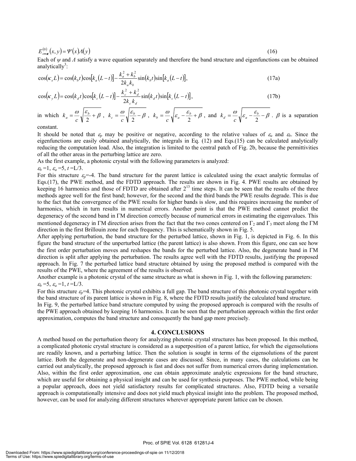$$
E_{z\eta\kappa}^{(0)}(x,y) = \Psi(x) \Lambda(y) \tag{16}
$$

Each of *ψ* and *Λ* satisfy a wave equation separately and therefore the band structure and eigenfunctions can be obtained analytically<sup>3</sup>:

$$
\cos(\kappa_x L) = \cos(k_b t) \cos[k_a (L - t)] - \frac{k_a^2 + k_b^2}{2k_a k_b} \sin(k_b t) \sin[k_a (L - t)],
$$
\n(17a)

$$
\cos(\kappa_y L) = \cos(k_d t) \cos[k_c (L - t)] - \frac{k_c^2 + k_d^2}{2k_c k_d} \sin(k_d t) \sin[k_c (L - t)],
$$
\n(17b)

in which  $k_a = \frac{\omega}{c} \sqrt{\frac{\varepsilon_b}{2} + \beta}$  $k_a = \frac{\omega}{c} \sqrt{\frac{\varepsilon_b}{2}} + \beta$ ,  $k_c = \frac{\omega}{c} \sqrt{\frac{\varepsilon_b}{2}} - \beta$ ,  $k_b = \frac{\omega}{c} \sqrt{\varepsilon_a - \frac{\varepsilon_b}{2}} + \beta$  $k_b = \frac{\omega}{c} \sqrt{\varepsilon_a - \frac{\varepsilon_b}{2}} + \beta$ , and  $k_d = \frac{\omega}{c} \sqrt{\varepsilon_a - \frac{\varepsilon_b}{2}} - \beta$ .  $\beta$  is a separation

constant.

It should be noted that  $\varepsilon_p$  may be positive or negative, according to the relative values of  $\varepsilon_a$  and  $\varepsilon_b$ . Since the eigenfunctions are easily obtained analytically, the integrals in Eq. (12) and Eqs.(15) can be calculated analytically reducing the computation load. Also, the integration is limited to the central patch of Fig. 2b, because the permittivities of all the other areas in the perturbing lattice are zero.

As the first example, a photonic crystal with the following parameters is analyzed:

 $\varepsilon_b = 1$ ,  $\varepsilon_a = 5$ ,  $t = L/3$ .

For this structure  $\varepsilon_p = -4$ . The band structure for the parent lattice is calculated using the exact analytic formulas of Eqs.(17), the PWE method, and the FDTD approach. The results are shown in Fig. 4. PWE results are obtained by keeping 16 harmonics and those of FDTD are obtained after  $2^{13}$  time steps. It can be seen that the results of the three methods agree well for the first band; however, for the second and the third bands the PWE results degrade. This is due to the fact that the convergence of the PWE results for higher bands is slow, and this requires increasing the number of harmonics, which in turn results in numerical errors. Another point is that the PWE method cannot predict the degeneracy of the second band in ΓM direction correctly because of numerical errors in estimating the eigenvalues. This mentioned degeneracy in ΓM direction arises from the fact that the two cones centered on  $\Gamma_2$  and  $\Gamma_3$  meet along the ΓM direction in the first Brillouin zone for each frequency. This is schematically shown in Fig. 5.

After applying perturbation, the band structure for the perturbed lattice, shown in Fig. 1, is depicted in Fig. 6. In this figure the band structure of the unperturbed lattice (the parent lattice) is also shown. From this figure, one can see how the first order perturbation moves and reshapes the bands for the perturbed lattice. Also, the degenerate band in ΓM direction is split after applying the perturbation. The results agree well with the FDTD results, justifying the proposed approach. In Fig. 7 the perturbed lattice band structure obtained by using the proposed method is compared with the results of the PWE, where the agreement of the results is observed.

Another example is a photonic crystal of the same structure as what is shown in Fig. 1, with the following parameters:  $\varepsilon_b = 5$ ,  $\varepsilon_a = 1$ ,  $t = L/3$ .

For this structure <sup>ε</sup>*p*=4. This photonic crystal exhibits a full gap. The band structure of this photonic crystal together with the band structure of its parent lattice is shown in Fig. 8, where the FDTD results justify the calculated band structure.

In Fig. 9, the perturbed lattice band structure computed by using the proposed approach is compared with the results of the PWE approach obtained by keeping 16 harmonics. It can be seen that the perturbation approach within the first order approximation, computes the band structure and consequently the band gap more precisely.

#### **4. CONCLUSIONS**

A method based on the perturbation theory for analyzing photonic crystal structures has been proposed. In this method, a complicated photonic crystal structure is considered as a superposition of a parent lattice, for which the eigensolutions are readily known, and a perturbing lattice. Then the solution is sought in terms of the eigensolutions of the parent lattice. Both the degenerate and non-degenerate cases are discussed. Since, in many cases, the calculations can be carried out analytically, the proposed approach is fast and does not suffer from numerical errors during implementation. Also, within the first order approximation, one can obtain approximate analytic expressions for the band structure, which are useful for obtaining a physical insight and can be used for synthesis purposes. The PWE method, while being a popular approach, does not yield satisfactory results for complicated structures. Also, FDTD being a versatile approach is computationally intensive and does not yield much physical insight into the problem. The proposed method, however, can be used for analyzing different structures wherever appropriate parent lattice can be chosen.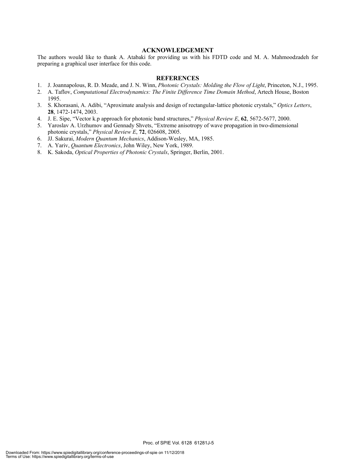#### **ACKNOWLEDGEMENT**

The authors would like to thank A. Atabaki for providing us with his FDTD code and M. A. Mahmoodzadeh for preparing a graphical user interface for this code.

#### **REFERENCES**

- 1. J. Joannapolous, R. D. Meade, and J. N. Winn, *Photonic Crystals: Molding the Flow of Light*, Princeton, N.J., 1995.
- 2. A. Taflov, *Computational Electrodynamics: The Finite Difference Time Domain Method*, Artech House, Boston 1995.
- 3. S. Khorasani, A. Adibi, "Aproximate analysis and design of rectangular-lattice photonic crystals," *Optics Letters*, **28**, 1472-1474, 2003.
- 4. J. E. Sipe, "Vector k.p approach for photonic band structures," *Physical Review E*, **62**, 5672-5677, 2000.
- 5. Yaroslav A. Urzhumov and Gennady Shvets, "Extreme anisotropy of wave propagation in two-dimensional photonic crystals," *Physical Review E*, **72**, 026608, 2005.
- 6. JJ. Sakurai, *Modern Quantum Mechanics*, Addison-Wesley, MA, 1985.
- 7. A. Yariv, *Quantum Electronics*, John Wiley, New York, 1989.
- 8. K. Sakoda, *Optical Properties of Photonic Crystals*, Springer, Berlin, 2001.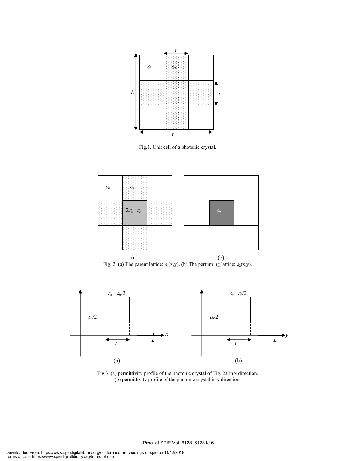

Fig.1. Unit cell of a photonic crystal.



Fig. 2. (a) The parent lattice:  $\varepsilon_1(x,y)$ . (b) The perturbing lattice:  $\varepsilon_2(x,y)$ .



Fig.3. (a) permittivity profile of the photonic crystal of Fig. 2a in x direction. (b) permittivity profile of the photonic crystal in y direction.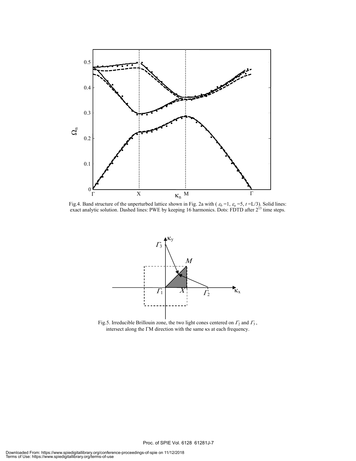

Fig.4. Band structure of the unperturbed lattice shown in Fig. 2a with  $(\varepsilon_b = 1, \varepsilon_a = 5, t = L/3)$ . Solid lines: exact analytic solution. Dashed lines: PWE by keeping 16 harmonics. Dots: FDTD after  $2^{13}$  time steps.



Fig.5. Irreducible Brillouin zone, the two light cones centered on  $\Gamma_2$  and  $\Gamma_3$ , intersect along the ΓM direction with the same κs at each frequency.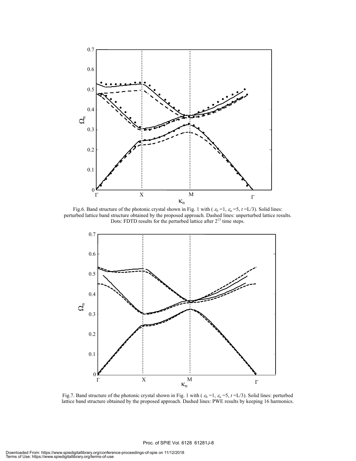

Fig.6. Band structure of the photonic crystal shown in Fig. 1 with ( $\varepsilon_b$  =1,  $\varepsilon_a$  =5,  $t = L/3$ ). Solid lines: perturbed lattice band structure obtained by the proposed approach. Dashed lines: unperturbed lattice results. Dots: FDTD results for the perturbed lattice after  $2^{13}$  time steps.



Fig.7. Band structure of the photonic crystal shown in Fig. 1 with ( <sup>ε</sup>*b* =1, <sup>ε</sup>*a* =5, *t* =L/3). Solid lines: perturbed lattice band structure obtained by the proposed approach. Dashed lines: PWE results by keeping 16 harmonics.